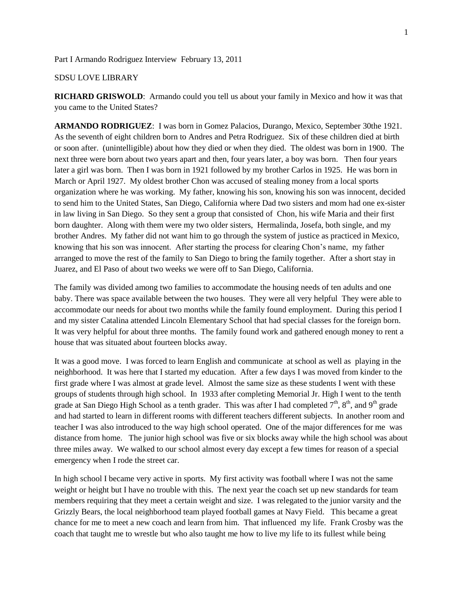Part I Armando Rodriguez Interview February 13, 2011

## SDSU LOVE LIBRARY

**RICHARD GRISWOLD**: Armando could you tell us about your family in Mexico and how it was that you came to the United States?

**ARMANDO RODRIGUEZ**: I was born in Gomez Palacios, Durango, Mexico, September 30the 1921. As the seventh of eight children born to Andres and Petra Rodriguez. Six of these children died at birth or soon after. (unintelligible) about how they died or when they died. The oldest was born in 1900. The next three were born about two years apart and then, four years later, a boy was born. Then four years later a girl was born. Then I was born in 1921 followed by my brother Carlos in 1925. He was born in March or April 1927. My oldest brother Chon was accused of stealing money from a local sports organization where he was working. My father, knowing his son, knowing his son was innocent, decided to send him to the United States, San Diego, California where Dad two sisters and mom had one ex-sister in law living in San Diego. So they sent a group that consisted of Chon, his wife Maria and their first born daughter. Along with them were my two older sisters, Hermalinda, Josefa, both single, and my brother Andres. My father did not want him to go through the system of justice as practiced in Mexico, knowing that his son was innocent. After starting the process for clearing Chon's name, my father arranged to move the rest of the family to San Diego to bring the family together. After a short stay in Juarez, and El Paso of about two weeks we were off to San Diego, California.

The family was divided among two families to accommodate the housing needs of ten adults and one baby. There was space available between the two houses. They were all very helpful They were able to accommodate our needs for about two months while the family found employment. During this period I and my sister Catalina attended Lincoln Elementary School that had special classes for the foreign born. It was very helpful for about three months. The family found work and gathered enough money to rent a house that was situated about fourteen blocks away.

It was a good move. I was forced to learn English and communicate at school as well as playing in the neighborhood. It was here that I started my education. After a few days I was moved from kinder to the first grade where I was almost at grade level. Almost the same size as these students I went with these groups of students through high school. In 1933 after completing Memorial Jr. High I went to the tenth grade at San Diego High School as a tenth grader. This was after I had completed  $7<sup>th</sup>$ ,  $8<sup>th</sup>$ , and  $9<sup>th</sup>$  grade and had started to learn in different rooms with different teachers different subjects. In another room and teacher I was also introduced to the way high school operated. One of the major differences for me was distance from home. The junior high school was five or six blocks away while the high school was about three miles away. We walked to our school almost every day except a few times for reason of a special emergency when I rode the street car.

In high school I became very active in sports. My first activity was football where I was not the same weight or height but I have no trouble with this. The next year the coach set up new standards for team members requiring that they meet a certain weight and size. I was relegated to the junior varsity and the Grizzly Bears, the local neighborhood team played football games at Navy Field. This became a great chance for me to meet a new coach and learn from him. That influenced my life. Frank Crosby was the coach that taught me to wrestle but who also taught me how to live my life to its fullest while being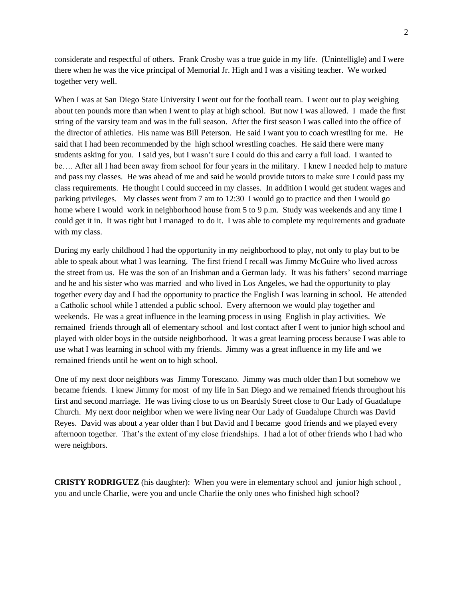considerate and respectful of others. Frank Crosby was a true guide in my life. (Unintelligle) and I were there when he was the vice principal of Memorial Jr. High and I was a visiting teacher. We worked together very well.

When I was at San Diego State University I went out for the football team. I went out to play weighing about ten pounds more than when I went to play at high school. But now I was allowed. I made the first string of the varsity team and was in the full season. After the first season I was called into the office of the director of athletics. His name was Bill Peterson. He said I want you to coach wrestling for me. He said that I had been recommended by the high school wrestling coaches. He said there were many students asking for you. I said yes, but I wasn't sure I could do this and carry a full load. I wanted to be…. After all I had been away from school for four years in the military. I knew I needed help to mature and pass my classes. He was ahead of me and said he would provide tutors to make sure I could pass my class requirements. He thought I could succeed in my classes. In addition I would get student wages and parking privileges. My classes went from 7 am to 12:30 I would go to practice and then I would go home where I would work in neighborhood house from 5 to 9 p.m. Study was weekends and any time I could get it in. It was tight but I managed to do it. I was able to complete my requirements and graduate with my class.

During my early childhood I had the opportunity in my neighborhood to play, not only to play but to be able to speak about what I was learning. The first friend I recall was Jimmy McGuire who lived across the street from us. He was the son of an Irishman and a German lady. It was his fathers' second marriage and he and his sister who was married and who lived in Los Angeles, we had the opportunity to play together every day and I had the opportunity to practice the English I was learning in school. He attended a Catholic school while I attended a public school. Every afternoon we would play together and weekends. He was a great influence in the learning process in using English in play activities. We remained friends through all of elementary school and lost contact after I went to junior high school and played with older boys in the outside neighborhood. It was a great learning process because I was able to use what I was learning in school with my friends. Jimmy was a great influence in my life and we remained friends until he went on to high school.

One of my next door neighbors was Jimmy Torescano. Jimmy was much older than I but somehow we became friends. I knew Jimmy for most of my life in San Diego and we remained friends throughout his first and second marriage. He was living close to us on Beardsly Street close to Our Lady of Guadalupe Church. My next door neighbor when we were living near Our Lady of Guadalupe Church was David Reyes. David was about a year older than I but David and I became good friends and we played every afternoon together. That's the extent of my close friendships. I had a lot of other friends who I had who were neighbors.

**CRISTY RODRIGUEZ** (his daughter): When you were in elementary school and junior high school , you and uncle Charlie, were you and uncle Charlie the only ones who finished high school?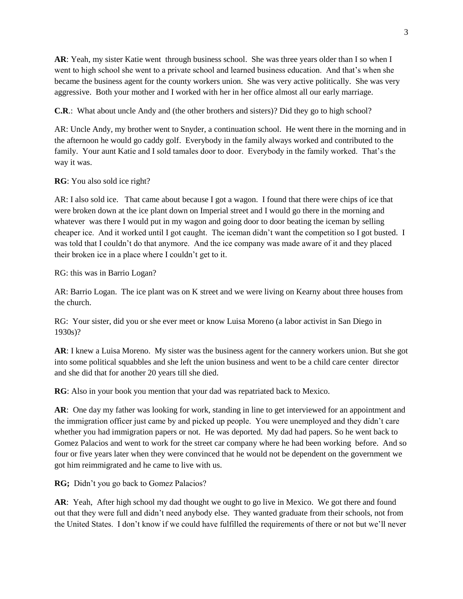**AR**: Yeah, my sister Katie went through business school. She was three years older than I so when I went to high school she went to a private school and learned business education. And that's when she became the business agent for the county workers union. She was very active politically. She was very aggressive. Both your mother and I worked with her in her office almost all our early marriage.

**C.R**.: What about uncle Andy and (the other brothers and sisters)? Did they go to high school?

AR: Uncle Andy, my brother went to Snyder, a continuation school. He went there in the morning and in the afternoon he would go caddy golf. Everybody in the family always worked and contributed to the family. Your aunt Katie and I sold tamales door to door. Everybody in the family worked. That's the way it was.

## **RG**: You also sold ice right?

AR: I also sold ice. That came about because I got a wagon. I found that there were chips of ice that were broken down at the ice plant down on Imperial street and I would go there in the morning and whatever was there I would put in my wagon and going door to door beating the iceman by selling cheaper ice. And it worked until I got caught. The iceman didn't want the competition so I got busted. I was told that I couldn't do that anymore. And the ice company was made aware of it and they placed their broken ice in a place where I couldn't get to it.

## RG: this was in Barrio Logan?

AR: Barrio Logan. The ice plant was on K street and we were living on Kearny about three houses from the church.

RG: Your sister, did you or she ever meet or know Luisa Moreno (a labor activist in San Diego in 1930s)?

**AR**: I knew a Luisa Moreno. My sister was the business agent for the cannery workers union. But she got into some political squabbles and she left the union business and went to be a child care center director and she did that for another 20 years till she died.

**RG**: Also in your book you mention that your dad was repatriated back to Mexico.

**AR**: One day my father was looking for work, standing in line to get interviewed for an appointment and the immigration officer just came by and picked up people. You were unemployed and they didn't care whether you had immigration papers or not. He was deported. My dad had papers. So he went back to Gomez Palacios and went to work for the street car company where he had been working before. And so four or five years later when they were convinced that he would not be dependent on the government we got him reimmigrated and he came to live with us.

**RG;** Didn't you go back to Gomez Palacios?

**AR**: Yeah, After high school my dad thought we ought to go live in Mexico. We got there and found out that they were full and didn't need anybody else. They wanted graduate from their schools, not from the United States. I don't know if we could have fulfilled the requirements of there or not but we'll never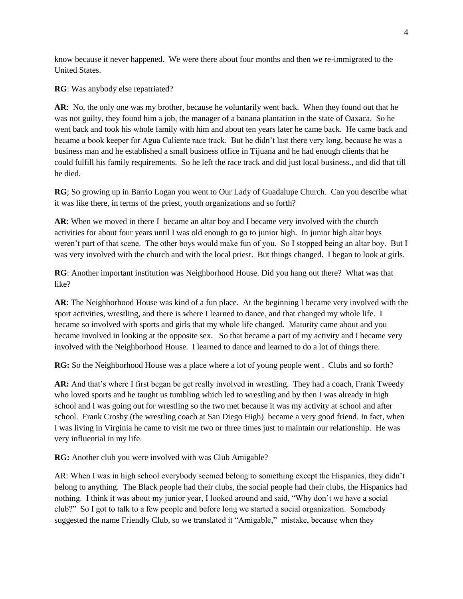know because it never happened. We were there about four months and then we re-immigrated to the United States.

**RG**: Was anybody else repatriated?

**AR**: No, the only one was my brother, because he voluntarily went back. When they found out that he was not guilty, they found him a job, the manager of a banana plantation in the state of Oaxaca. So he went back and took his whole family with him and about ten years later he came back. He came back and became a book keeper for Agua Caliente race track. But he didn't last there very long, because he was a business man and he established a small business office in Tijuana and he had enough clients that he could fulfill his family requirements. So he left the race track and did just local business., and did that till he died.

**RG**; So growing up in Barrio Logan you went to Our Lady of Guadalupe Church. Can you describe what it was like there, in terms of the priest, youth organizations and so forth?

**AR**: When we moved in there I became an altar boy and I became very involved with the church activities for about four years until I was old enough to go to junior high. In junior high altar boys weren't part of that scene. The other boys would make fun of you. So I stopped being an altar boy. But I was very involved with the church and with the local priest. But things changed. I began to look at girls.

**RG**: Another important institution was Neighborhood House. Did you hang out there? What was that like?

**AR**: The Neighborhood House was kind of a fun place. At the beginning I became very involved with the sport activities, wrestling, and there is where I learned to dance, and that changed my whole life. I became so involved with sports and girls that my whole life changed. Maturity came about and you became involved in looking at the opposite sex. So that became a part of my activity and I became very involved with the Neighborhood House. I learned to dance and learned to do a lot of things there.

**RG:** So the Neighborhood House was a place where a lot of young people went . Clubs and so forth?

**AR:** And that's where I first began be get really involved in wrestling. They had a coach, Frank Tweedy who loved sports and he taught us tumbling which led to wrestling and by then I was already in high school and I was going out for wrestling so the two met because it was my activity at school and after school. Frank Crosby (the wrestling coach at San Diego High) became a very good friend. In fact, when I was living in Virginia he came to visit me two or three times just to maintain our relationship. He was very influential in my life.

**RG:** Another club you were involved with was Club Amigable?

AR: When I was in high school everybody seemed belong to something except the Hispanics, they didn't belong to anything. The Black people had their clubs, the social people had their clubs, the Hispanics had nothing. I think it was about my junior year, I looked around and said, "Why don't we have a social club?" So I got to talk to a few people and before long we started a social organization. Somebody suggested the name Friendly Club, so we translated it "Amigable," mistake, because when they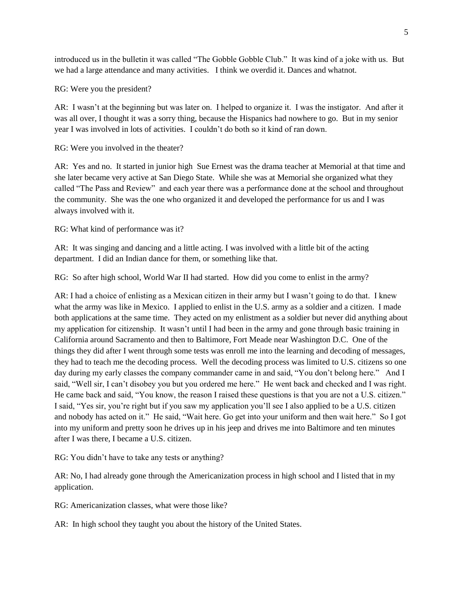introduced us in the bulletin it was called "The Gobble Gobble Club." It was kind of a joke with us. But we had a large attendance and many activities. I think we overdid it. Dances and whatnot.

RG: Were you the president?

AR: I wasn't at the beginning but was later on. I helped to organize it. I was the instigator. And after it was all over, I thought it was a sorry thing, because the Hispanics had nowhere to go. But in my senior year I was involved in lots of activities. I couldn't do both so it kind of ran down.

RG: Were you involved in the theater?

AR: Yes and no. It started in junior high Sue Ernest was the drama teacher at Memorial at that time and she later became very active at San Diego State. While she was at Memorial she organized what they called "The Pass and Review" and each year there was a performance done at the school and throughout the community. She was the one who organized it and developed the performance for us and I was always involved with it.

RG: What kind of performance was it?

AR: It was singing and dancing and a little acting. I was involved with a little bit of the acting department. I did an Indian dance for them, or something like that.

RG: So after high school, World War II had started. How did you come to enlist in the army?

AR: I had a choice of enlisting as a Mexican citizen in their army but I wasn't going to do that. I knew what the army was like in Mexico. I applied to enlist in the U.S. army as a soldier and a citizen. I made both applications at the same time. They acted on my enlistment as a soldier but never did anything about my application for citizenship. It wasn't until I had been in the army and gone through basic training in California around Sacramento and then to Baltimore, Fort Meade near Washington D.C. One of the things they did after I went through some tests was enroll me into the learning and decoding of messages, they had to teach me the decoding process. Well the decoding process was limited to U.S. citizens so one day during my early classes the company commander came in and said, "You don't belong here." And I said, "Well sir, I can't disobey you but you ordered me here." He went back and checked and I was right. He came back and said, "You know, the reason I raised these questions is that you are not a U.S. citizen." I said, "Yes sir, you're right but if you saw my application you'll see I also applied to be a U.S. citizen and nobody has acted on it." He said, "Wait here. Go get into your uniform and then wait here." So I got into my uniform and pretty soon he drives up in his jeep and drives me into Baltimore and ten minutes after I was there, I became a U.S. citizen.

RG: You didn't have to take any tests or anything?

AR: No, I had already gone through the Americanization process in high school and I listed that in my application.

RG: Americanization classes, what were those like?

AR: In high school they taught you about the history of the United States.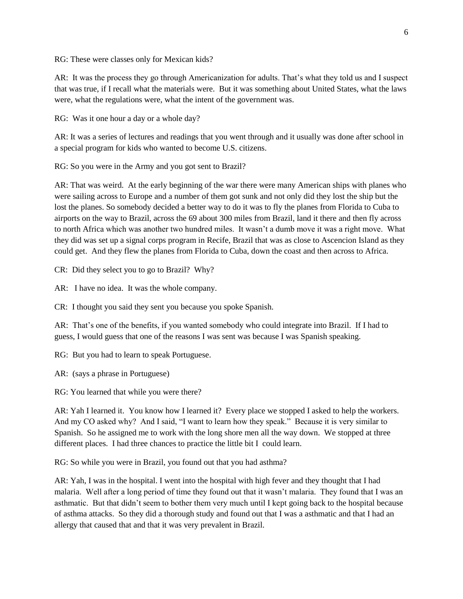RG: These were classes only for Mexican kids?

AR: It was the process they go through Americanization for adults. That's what they told us and I suspect that was true, if I recall what the materials were. But it was something about United States, what the laws were, what the regulations were, what the intent of the government was.

RG: Was it one hour a day or a whole day?

AR: It was a series of lectures and readings that you went through and it usually was done after school in a special program for kids who wanted to become U.S. citizens.

RG: So you were in the Army and you got sent to Brazil?

AR: That was weird. At the early beginning of the war there were many American ships with planes who were sailing across to Europe and a number of them got sunk and not only did they lost the ship but the lost the planes. So somebody decided a better way to do it was to fly the planes from Florida to Cuba to airports on the way to Brazil, across the 69 about 300 miles from Brazil, land it there and then fly across to north Africa which was another two hundred miles. It wasn't a dumb move it was a right move. What they did was set up a signal corps program in Recife, Brazil that was as close to Ascencion Island as they could get. And they flew the planes from Florida to Cuba, down the coast and then across to Africa.

CR: Did they select you to go to Brazil? Why?

AR: I have no idea. It was the whole company.

CR: I thought you said they sent you because you spoke Spanish.

AR: That's one of the benefits, if you wanted somebody who could integrate into Brazil. If I had to guess, I would guess that one of the reasons I was sent was because I was Spanish speaking.

RG: But you had to learn to speak Portuguese.

AR: (says a phrase in Portuguese)

RG: You learned that while you were there?

AR: Yah I learned it. You know how I learned it? Every place we stopped I asked to help the workers. And my CO asked why? And I said, "I want to learn how they speak." Because it is very similar to Spanish. So he assigned me to work with the long shore men all the way down. We stopped at three different places. I had three chances to practice the little bit I could learn.

RG: So while you were in Brazil, you found out that you had asthma?

AR: Yah, I was in the hospital. I went into the hospital with high fever and they thought that I had malaria. Well after a long period of time they found out that it wasn't malaria. They found that I was an asthmatic. But that didn't seem to bother them very much until I kept going back to the hospital because of asthma attacks. So they did a thorough study and found out that I was a asthmatic and that I had an allergy that caused that and that it was very prevalent in Brazil.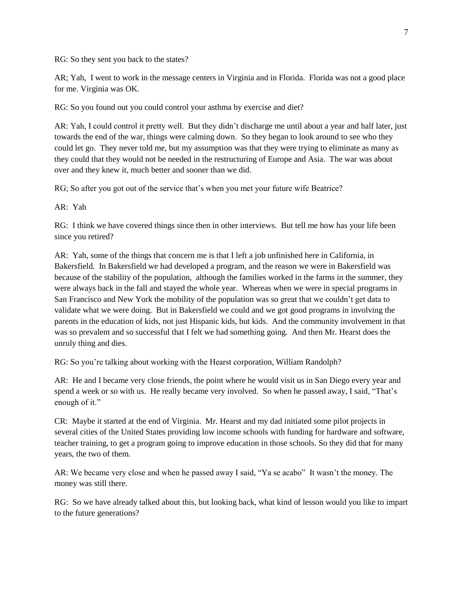RG: So they sent you back to the states?

AR; Yah, I went to work in the message centers in Virginia and in Florida. Florida was not a good place for me. Virginia was OK.

RG: So you found out you could control your asthma by exercise and diet?

AR: Yah, I could control it pretty well. But they didn't discharge me until about a year and half later, just towards the end of the war, things were calming down. So they began to look around to see who they could let go. They never told me, but my assumption was that they were trying to eliminate as many as they could that they would not be needed in the restructuring of Europe and Asia. The war was about over and they knew it, much better and sooner than we did.

RG; So after you got out of the service that's when you met your future wife Beatrice?

AR: Yah

RG: I think we have covered things since then in other interviews. But tell me how has your life been since you retired?

AR: Yah, some of the things that concern me is that I left a job unfinished here in California, in Bakersfield. In Bakersfield we had developed a program, and the reason we were in Bakersfield was because of the stability of the population, although the families worked in the farms in the summer, they were always back in the fall and stayed the whole year. Whereas when we were in special programs in San Francisco and New York the mobility of the population was so great that we couldn't get data to validate what we were doing. But in Bakersfield we could and we got good programs in involving the parents in the education of kids, not just Hispanic kids, but kids. And the community involvement in that was so prevalent and so successful that I felt we had something going. And then Mr. Hearst does the unruly thing and dies.

RG: So you're talking about working with the Hearst corporation, William Randolph?

AR: He and I became very close friends, the point where he would visit us in San Diego every year and spend a week or so with us. He really became very involved. So when he passed away, I said, "That's enough of it."

CR: Maybe it started at the end of Virginia. Mr. Hearst and my dad initiated some pilot projects in several cities of the United States providing low income schools with funding for hardware and software, teacher training, to get a program going to improve education in those schools. So they did that for many years, the two of them.

AR: We became very close and when he passed away I said, "Ya se acabo" It wasn't the money. The money was still there.

RG: So we have already talked about this, but looking back, what kind of lesson would you like to impart to the future generations?